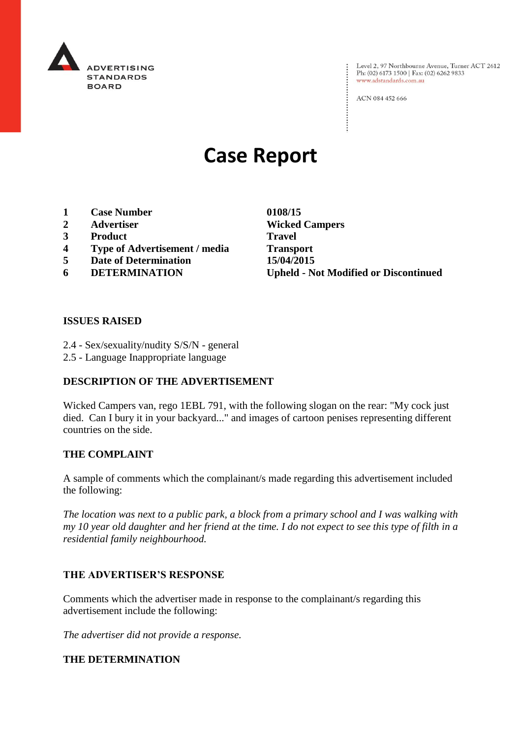

: Level 2, 97 Northbourne Avenue, Turner ACT 2612<br>: Ph: (02) 6173 1500 | Fax: (02) 6262 9833 Ph: (02) 6173 1500 | Fax: (02) 6262 9833 www.adstandards.com.au

ACN 084 452 666

# **Case Report**

- **1 Case Number 0108/15**
- **2 Advertiser Wicked Campers**
- **3 Product Travel**
- **4 Type of Advertisement / media Transport**
- **5 Date of Determination 15/04/2015**
- 

**6 DETERMINATION Upheld - Not Modified or Discontinued**

 $\vdots$ 

#### **ISSUES RAISED**

- 2.4 Sex/sexuality/nudity S/S/N general
- 2.5 Language Inappropriate language

### **DESCRIPTION OF THE ADVERTISEMENT**

Wicked Campers van, rego 1EBL 791, with the following slogan on the rear: "My cock just died. Can I bury it in your backyard..." and images of cartoon penises representing different countries on the side.

#### **THE COMPLAINT**

A sample of comments which the complainant/s made regarding this advertisement included the following:

*The location was next to a public park, a block from a primary school and I was walking with my 10 year old daughter and her friend at the time. I do not expect to see this type of filth in a residential family neighbourhood.*

#### **THE ADVERTISER'S RESPONSE**

Comments which the advertiser made in response to the complainant/s regarding this advertisement include the following:

*The advertiser did not provide a response.*

#### **THE DETERMINATION**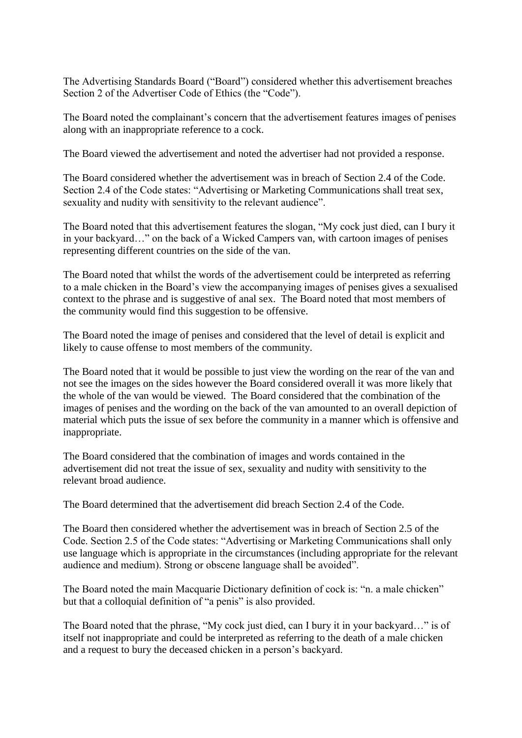The Advertising Standards Board ("Board") considered whether this advertisement breaches Section 2 of the Advertiser Code of Ethics (the "Code").

The Board noted the complainant's concern that the advertisement features images of penises along with an inappropriate reference to a cock.

The Board viewed the advertisement and noted the advertiser had not provided a response.

The Board considered whether the advertisement was in breach of Section 2.4 of the Code. Section 2.4 of the Code states: "Advertising or Marketing Communications shall treat sex, sexuality and nudity with sensitivity to the relevant audience".

The Board noted that this advertisement features the slogan, "My cock just died, can I bury it in your backyard…" on the back of a Wicked Campers van, with cartoon images of penises representing different countries on the side of the van.

The Board noted that whilst the words of the advertisement could be interpreted as referring to a male chicken in the Board's view the accompanying images of penises gives a sexualised context to the phrase and is suggestive of anal sex. The Board noted that most members of the community would find this suggestion to be offensive.

The Board noted the image of penises and considered that the level of detail is explicit and likely to cause offense to most members of the community.

The Board noted that it would be possible to just view the wording on the rear of the van and not see the images on the sides however the Board considered overall it was more likely that the whole of the van would be viewed. The Board considered that the combination of the images of penises and the wording on the back of the van amounted to an overall depiction of material which puts the issue of sex before the community in a manner which is offensive and inappropriate.

The Board considered that the combination of images and words contained in the advertisement did not treat the issue of sex, sexuality and nudity with sensitivity to the relevant broad audience.

The Board determined that the advertisement did breach Section 2.4 of the Code.

The Board then considered whether the advertisement was in breach of Section 2.5 of the Code. Section 2.5 of the Code states: "Advertising or Marketing Communications shall only use language which is appropriate in the circumstances (including appropriate for the relevant audience and medium). Strong or obscene language shall be avoided".

The Board noted the main Macquarie Dictionary definition of cock is: "n. a male chicken" but that a colloquial definition of "a penis" is also provided.

The Board noted that the phrase, "My cock just died, can I bury it in your backyard…" is of itself not inappropriate and could be interpreted as referring to the death of a male chicken and a request to bury the deceased chicken in a person's backyard.